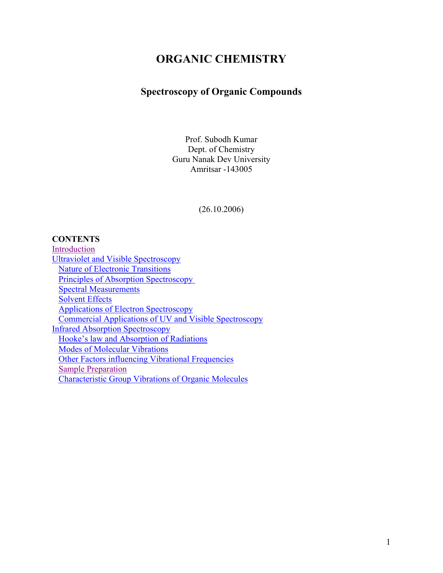# **ORGANIC CHEMISTRY**

# **Spectroscopy of Organic Compounds**

Prof. Subodh Kumar Dept. of Chemistry Guru Nanak Dev University Amritsar -143005

(26.10.2006)

# **CONTENTS**

| Introduction                                                |
|-------------------------------------------------------------|
| <b>Ultraviolet and Visible Spectroscopy</b>                 |
| <b>Nature of Electronic Transitions</b>                     |
| <b>Principles of Absorption Spectroscopy</b>                |
| <b>Spectral Measurements</b>                                |
| <b>Solvent Effects</b>                                      |
| <b>Applications of Electron Spectroscopy</b>                |
| Commercial Applications of UV and Visible Spectroscopy      |
| <b>Infrared Absorption Spectroscopy</b>                     |
| Hooke's law and Absorption of Radiations                    |
| <b>Modes of Molecular Vibrations</b>                        |
| <b>Other Factors influencing Vibrational Frequencies</b>    |
| <b>Sample Preparation</b>                                   |
| <b>Characteristic Group Vibrations of Organic Molecules</b> |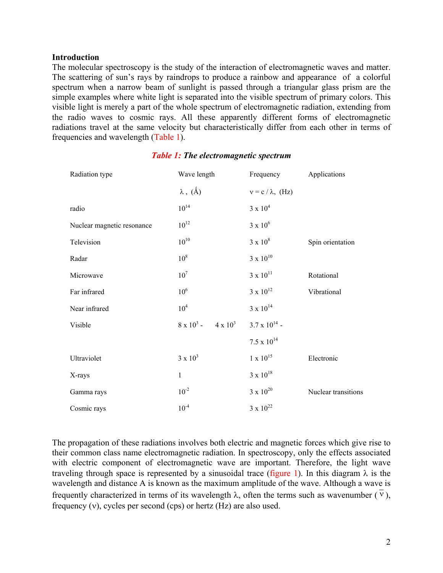## **Introduction**

The molecular spectroscopy is the study of the interaction of electromagnetic waves and matter. The scattering of sun's rays by raindrops to produce a rainbow and appearance of a colorful spectrum when a narrow beam of sunlight is passed through a triangular glass prism are the simple examples where white light is separated into the visible spectrum of primary colors. This visible light is merely a part of the whole spectrum of electromagnetic radiation, extending from the radio waves to cosmic rays. All these apparently different forms of electromagnetic radiations travel at the same velocity but characteristically differ from each other in terms of frequencies and wavelength (Table 1).

| Radiation type             | Wave length                  | Frequency                | Applications        |
|----------------------------|------------------------------|--------------------------|---------------------|
|                            | $\lambda$ , $(\AA)$          | $v = c / \lambda$ , (Hz) |                     |
| radio                      | $10^{14}$                    | $3 \times 10^4$          |                     |
| Nuclear magnetic resonance | $10^{12}$                    | $3 \times 10^6$          |                     |
| Television                 | $10^{10}$                    | $3 \times 10^8$          | Spin orientation    |
| Radar                      | 10 <sup>8</sup>              | $3 \times 10^{10}$       |                     |
| Microwave                  | 10 <sup>7</sup>              | $3 \times 10^{11}$       | Rotational          |
| Far infrared               | 10 <sup>6</sup>              | $3 \times 10^{12}$       | Vibrational         |
| Near infrared              | 10 <sup>4</sup>              | $3 \times 10^{14}$       |                     |
| Visible                    | $8 \times 10^3$ - 4 x $10^3$ | $3.7 \times 10^{14}$ -   |                     |
|                            |                              | $7.5 \times 10^{14}$     |                     |
| Ultraviolet                | $3 \times 10^3$              | $1 \times 10^{15}$       | Electronic          |
| X-rays                     | $\mathbf{1}$                 | $3 \times 10^{18}$       |                     |
| Gamma rays                 | $10^{-2}$                    | $3 \times 10^{20}$       | Nuclear transitions |
| Cosmic rays                | $10^{-4}$                    | $3 \times 10^{22}$       |                     |

# *Table 1: The electromagnetic spectrum*

The propagation of these radiations involves both electric and magnetic forces which give rise to their common class name electromagnetic radiation. In spectroscopy, only the effects associated with electric component of electromagnetic wave are important. Therefore, the light wave traveling through space is represented by a sinusoidal trace (figure 1). In this diagram  $\lambda$  is the wavelength and distance A is known as the maximum amplitude of the wave. Although a wave is frequently characterized in terms of its wavelength  $\lambda$ , often the terms such as wavenumber ( $\overline{v}$ ), frequency (ν), cycles per second (cps) or hertz (Hz) are also used.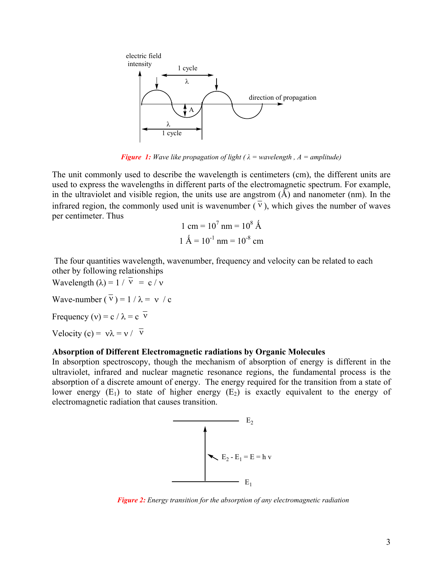

*Figure 1: Wave like propagation of light (* $\lambda$  *= wavelength, A = amplitude)* 

The unit commonly used to describe the wavelength is centimeters (cm), the different units are used to express the wavelengths in different parts of the electromagnetic spectrum. For example, in the ultraviolet and visible region, the units use are angstrom  $(\hat{A})$  and nanometer (nm). In the infrared region, the commonly used unit is wavenumber  $(\overline{v})$ , which gives the number of waves per centimeter. Thus

1 cm = 
$$
10^7
$$
 nm =  $10^8$  Å  
1 Å =  $10^{-1}$  nm =  $10^{-8}$  cm

 The four quantities wavelength, wavenumber, frequency and velocity can be related to each other by following relationships

Wavelength  $(\lambda) = 1 / \overline{v} = c / v$ Wave-number  $(\overline{v}) = 1 / \lambda = v / c$ Frequency (v) = c /  $\lambda$  = c  $\overline{v}$ Velocity (c) =  $v\lambda = v / \overline{v}$ 

## **Absorption of Different Electromagnetic radiations by Organic Molecules**

In absorption spectroscopy, though the mechanism of absorption of energy is different in the ultraviolet, infrared and nuclear magnetic resonance regions, the fundamental process is the absorption of a discrete amount of energy. The energy required for the transition from a state of lower energy  $(E_1)$  to state of higher energy  $(E_2)$  is exactly equivalent to the energy of electromagnetic radiation that causes transition.



 *Figure 2: Energy transition for the absorption of any electromagnetic radiation*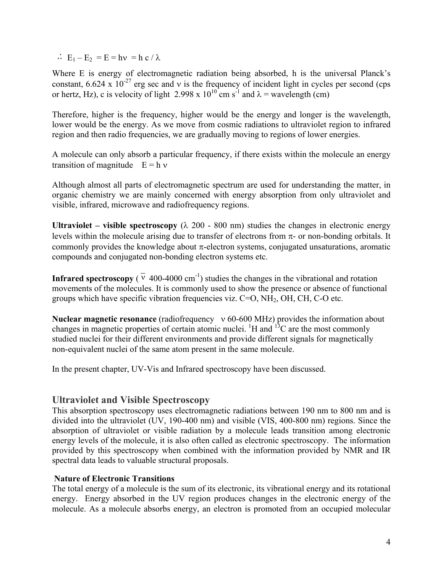<span id="page-3-0"></span> $\therefore$  E<sub>1</sub> – E<sub>2</sub> = E = hv = h c /  $\lambda$ 

Where E is energy of electromagnetic radiation being absorbed, h is the universal Planck's constant, 6.624 x  $10^{-27}$  erg sec and v is the frequency of incident light in cycles per second (cps or hertz, Hz), c is velocity of light 2.998 x  $10^{10}$  cm s<sup>-1</sup> and  $\lambda$  = wavelength (cm)

Therefore, higher is the frequency, higher would be the energy and longer is the wavelength, lower would be the energy. As we move from cosmic radiations to ultraviolet region to infrared region and then radio frequencies, we are gradually moving to regions of lower energies.

A molecule can only absorb a particular frequency, if there exists within the molecule an energy transition of magnitude  $E = h v$ 

Although almost all parts of electromagnetic spectrum are used for understanding the matter, in organic chemistry we are mainly concerned with energy absorption from only ultraviolet and visible, infrared, microwave and radiofrequency regions.

**Ultraviolet – visible spectroscopy** ( $\lambda$  200 - 800 nm) studies the changes in electronic energy levels within the molecule arising due to transfer of electrons from  $\pi$ - or non-bonding orbitals. It commonly provides the knowledge about  $\pi$ -electron systems, conjugated unsaturations, aromatic compounds and conjugated non-bonding electron systems etc.

**Infrared spectroscopy** ( $\overline{v}$  400-4000 cm<sup>-1</sup>) studies the changes in the vibrational and rotation movements of the molecules. It is commonly used to show the presence or absence of functional groups which have specific vibration frequencies viz.  $C=O$ ,  $NH<sub>2</sub>$ ,  $OH$ ,  $CH$ ,  $C-O$  etc.

**Nuclear magnetic resonance** (radiofrequency ν 60-600 MHz) provides the information about changes in magnetic properties of certain atomic nuclei. <sup>1</sup>H and <sup>13</sup>C are the most commonly studied nuclei for their different environments and provide different signals for magnetically non-equivalent nuclei of the same atom present in the same molecule.

In the present chapter, UV-Vis and Infrared spectroscopy have been discussed.

# **Ultraviolet and Visible Spectroscopy**

This absorption spectroscopy uses electromagnetic radiations between 190 nm to 800 nm and is divided into the ultraviolet (UV, 190-400 nm) and visible (VIS, 400-800 nm) regions. Since the absorption of ultraviolet or visible radiation by a molecule leads transition among electronic energy levels of the molecule, it is also often called as electronic spectroscopy. The information provided by this spectroscopy when combined with the information provided by NMR and IR spectral data leads to valuable structural proposals.

## **Nature of Electronic Transitions**

The total energy of a molecule is the sum of its electronic, its vibrational energy and its rotational energy. Energy absorbed in the UV region produces changes in the electronic energy of the molecule. As a molecule absorbs energy, an electron is promoted from an occupied molecular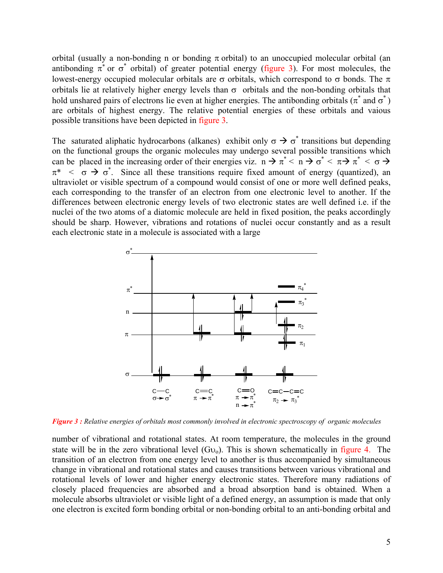orbital (usually a non-bonding n or bonding  $\pi$  orbital) to an unoccupied molecular orbital (an antibonding  $\pi^*$  or  $\sigma^*$  orbital) of greater potential energy (figure 3). For most molecules, the lowest-energy occupied molecular orbitals are σ orbitals, which correspond to σ bonds. The π orbitals lie at relatively higher energy levels than  $\sigma$  orbitals and the non-bonding orbitals that hold unshared pairs of electrons lie even at higher energies. The antibonding orbitals ( $\pi^*$  and  $\sigma^*$ ) are orbitals of highest energy. The relative potential energies of these orbitals and vaious possible transitions have been depicted in figure 3.

The saturated aliphatic hydrocarbons (alkanes) exhibit only  $\sigma \rightarrow \sigma^*$  transitions but depending on the functional groups the organic molecules may undergo several possible transitions which can be placed in the increasing order of their energies viz.  $n \to \pi^*$   $\lt$   $n \to \sigma^*$   $\lt$   $\pi \to \pi^*$   $\lt$   $\sigma \to$  $\pi^*$  <  $\sigma \to \sigma^*$ . Since all these transitions require fixed amount of energy (quantized), an ultraviolet or visible spectrum of a compound would consist of one or more well defined peaks, each corresponding to the transfer of an electron from one electronic level to another. If the differences between electronic energy levels of two electronic states are well defined i.e. if the nuclei of the two atoms of a diatomic molecule are held in fixed position, the peaks accordingly should be sharp. However, vibrations and rotations of nuclei occur constantly and as a result each electronic state in a molecule is associated with a large



*Figure 3 : Relative energies of orbitals most commonly involved in electronic spectroscopy of organic molecules* 

number of vibrational and rotational states. At room temperature, the molecules in the ground state will be in the zero vibrational level  $(Gv_0)$ . This is shown schematically in figure 4. The transition of an electron from one energy level to another is thus accompanied by simultaneous change in vibrational and rotational states and causes transitions between various vibrational and rotational levels of lower and higher energy electronic states. Therefore many radiations of closely placed frequencies are absorbed and a broad absorption band is obtained. When a molecule absorbs ultraviolet or visible light of a defined energy, an assumption is made that only one electron is excited form bonding orbital or non-bonding orbital to an anti-bonding orbital and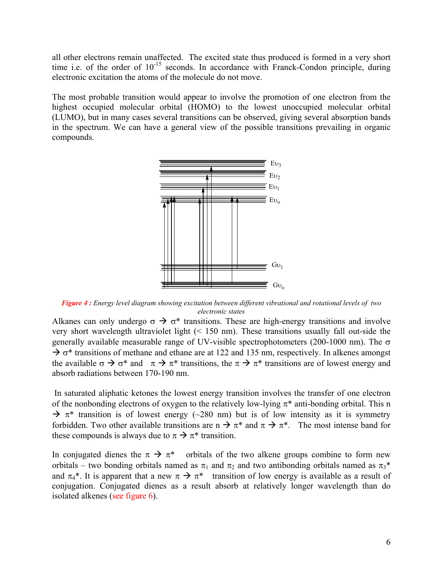all other electrons remain unaffected. The excited state thus produced is formed in a very short time i.e. of the order of  $10^{-15}$  seconds. In accordance with Franck-Condon principle, during electronic excitation the atoms of the molecule do not move.

The most probable transition would appear to involve the promotion of one electron from the highest occupied molecular orbital (HOMO) to the lowest unoccupied molecular orbital (LUMO), but in many cases several transitions can be observed, giving several absorption bands in the spectrum. We can have a general view of the possible transitions prevailing in organic compounds.



*Figure 4 : Energy level diagram showing excitation between different vibrational and rotational levels of two electronic states* 

Alkanes can only undergo  $\sigma \rightarrow \sigma^*$  transitions. These are high-energy transitions and involve very short wavelength ultraviolet light (< 150 nm). These transitions usually fall out-side the generally available measurable range of UV-visible spectrophotometers (200-1000 nm). The σ  $\rightarrow \sigma^*$  transitions of methane and ethane are at 122 and 135 nm, respectively. In alkenes amongst the available  $\sigma \to \sigma^*$  and  $\pi \to \pi^*$  transitions, the  $\pi \to \pi^*$  transitions are of lowest energy and absorb radiations between 170-190 nm.

In saturated aliphatic ketones the lowest energy transition involves the transfer of one electron of the nonbonding electrons of oxygen to the relatively low-lying  $\pi^*$  anti-bonding orbital. This n  $\rightarrow \pi^*$  transition is of lowest energy (~280 nm) but is of low intensity as it is symmetry forbidden. Two other available transitions are n  $\rightarrow \pi^*$  and  $\pi \rightarrow \pi^*$ . The most intense band for these compounds is always due to  $\pi \rightarrow \pi^*$  transition.

In conjugated dienes the  $\pi \to \pi^*$  orbitals of the two alkene groups combine to form new orbitals – two bonding orbitals named as  $\pi_1$  and  $\pi_2$  and two antibonding orbitals named as  $\pi_3^*$ and  $\pi_4^*$ . It is apparent that a new  $\pi \to \pi^*$  transition of low energy is available as a result of conjugation. Conjugated dienes as a result absorb at relatively longer wavelength than do isolated alkenes (see figure 6).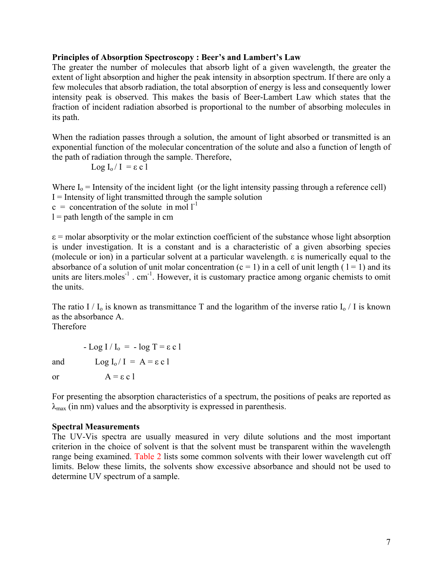## <span id="page-6-0"></span>**Principles of Absorption Spectroscopy : Beer's and Lambert's Law**

The greater the number of molecules that absorb light of a given wavelength, the greater the extent of light absorption and higher the peak intensity in absorption spectrum. If there are only a few molecules that absorb radiation, the total absorption of energy is less and consequently lower intensity peak is observed. This makes the basis of Beer-Lambert Law which states that the fraction of incident radiation absorbed is proportional to the number of absorbing molecules in its path.

When the radiation passes through a solution, the amount of light absorbed or transmitted is an exponential function of the molecular concentration of the solute and also a function of length of the path of radiation through the sample. Therefore,

$$
Log I_{o} / I = \varepsilon c l
$$

Where  $I_0$  = Intensity of the incident light (or the light intensity passing through a reference cell)  $I =$  Intensity of light transmitted through the sample solution

- $c =$  concentration of the solute in mol  $l^{-1}$
- $l =$  path length of the sample in cm

 $\varepsilon$  = molar absorptivity or the molar extinction coefficient of the substance whose light absorption is under investigation. It is a constant and is a characteristic of a given absorbing species (molecule or ion) in a particular solvent at a particular wavelength. ε is numerically equal to the absorbance of a solution of unit molar concentration  $(c = 1)$  in a cell of unit length  $(1 = 1)$  and its units are liters moles<sup>-1</sup>. cm<sup>-1</sup>. However, it is customary practice among organic chemists to omit the units.

The ratio I /  $I_0$  is known as transmittance T and the logarithm of the inverse ratio  $I_0$  / I is known as the absorbance A.

Therefore

 $-Log I/I_0 = -log T = \varepsilon c 1$ and  $\text{Log } I_0 / I = A = \varepsilon c 1$ 

or  $A = \varepsilon c 1$ 

For presenting the absorption characteristics of a spectrum, the positions of peaks are reported as  $\lambda_{\text{max}}$  (in nm) values and the absorptivity is expressed in parenthesis.

#### **Spectral Measurements**

The UV-Vis spectra are usually measured in very dilute solutions and the most important criterion in the choice of solvent is that the solvent must be transparent within the wavelength range being examined. Table 2 lists some common solvents with their lower wavelength cut off limits. Below these limits, the solvents show excessive absorbance and should not be used to determine UV spectrum of a sample.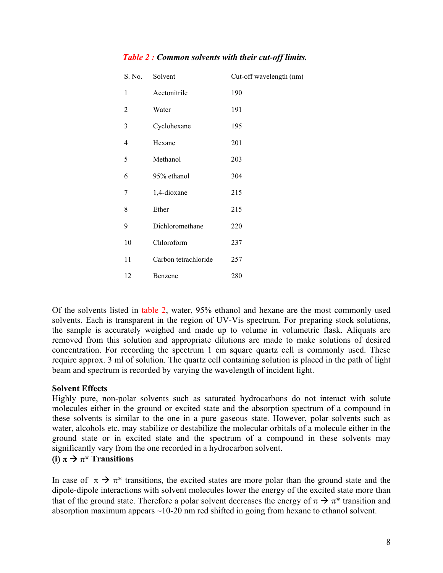| S. No. | Solvent              | Cut-off wavelength (nm) |
|--------|----------------------|-------------------------|
| 1      | Acetonitrile         | 190                     |
| 2      | Water                | 191                     |
| 3      | Cyclohexane          | 195                     |
| 4      | Hexane               | 201                     |
| 5      | Methanol             | 203                     |
| 6      | 95% ethanol          | 304                     |
| 7      | 1,4-dioxane          | 215                     |
| 8      | Ether                | 215                     |
| 9      | Dichloromethane      | 220                     |
| 10     | Chloroform           | 237                     |
| 11     | Carbon tetrachloride | 257                     |
| 12     | Benzene              | 280                     |
|        |                      |                         |

# <span id="page-7-0"></span>*Table 2 : Common solvents with their cut-off limits.*

Of the solvents listed in table 2, water, 95% ethanol and hexane are the most commonly used solvents. Each is transparent in the region of UV-Vis spectrum. For preparing stock solutions, the sample is accurately weighed and made up to volume in volumetric flask. Aliquats are removed from this solution and appropriate dilutions are made to make solutions of desired concentration. For recording the spectrum 1 cm square quartz cell is commonly used. These require approx. 3 ml of solution. The quartz cell containing solution is placed in the path of light beam and spectrum is recorded by varying the wavelength of incident light.

# **Solvent Effects**

Highly pure, non-polar solvents such as saturated hydrocarbons do not interact with solute molecules either in the ground or excited state and the absorption spectrum of a compound in these solvents is similar to the one in a pure gaseous state. However, polar solvents such as water, alcohols etc. may stabilize or destabilize the molecular orbitals of a molecule either in the ground state or in excited state and the spectrum of a compound in these solvents may significantly vary from the one recorded in a hydrocarbon solvent.

# $(i)$   $\pi \rightarrow \pi^*$  **Transitions**

In case of  $\pi \to \pi^*$  transitions, the excited states are more polar than the ground state and the dipole-dipole interactions with solvent molecules lower the energy of the excited state more than that of the ground state. Therefore a polar solvent decreases the energy of  $\pi \rightarrow \pi^*$  transition and absorption maximum appears ~10-20 nm red shifted in going from hexane to ethanol solvent.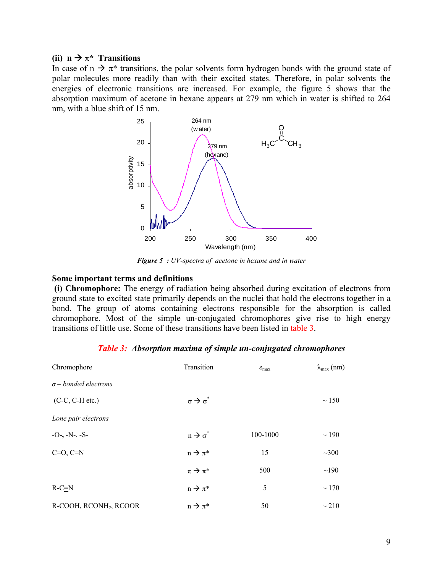## (ii)  $n \rightarrow \pi^*$  Transitions

In case of  $n \to \pi^*$  transitions, the polar solvents form hydrogen bonds with the ground state of polar molecules more readily than with their excited states. Therefore, in polar solvents the energies of electronic transitions are increased. For example, the figure 5 shows that the absorption maximum of acetone in hexane appears at 279 nm which in water is shifted to 264 nm, with a blue shift of 15 nm.



*Figure 5 : UV-spectra of acetone in hexane and in water*

#### **Some important terms and definitions**

 **(i) Chromophore:** The energy of radiation being absorbed during excitation of electrons from ground state to excited state primarily depends on the nuclei that hold the electrons together in a bond. The group of atoms containing electrons responsible for the absorption is called chromophore. Most of the simple un-conjugated chromophores give rise to high energy transitions of little use. Some of these transitions have been listed in table 3.

| Chromophore                        | Transition                    | $\varepsilon_{\text{max}}$ | $\lambda_{\text{max}}$ (nm) |
|------------------------------------|-------------------------------|----------------------------|-----------------------------|
| $\sigma$ – bonded electrons        |                               |                            |                             |
| $(C-C, C-H etc.)$                  | $\sigma \rightarrow \sigma^*$ |                            | $\sim$ 150                  |
| Lone pair electrons                |                               |                            |                             |
| $-O-, -N-, -S-$                    | $n \rightarrow \sigma^*$      | 100-1000                   | $\sim$ 190                  |
| $C=O, C=N$                         | $n \rightarrow \pi^*$         | 15                         | $~1$ - 300                  |
|                                    | $\pi \rightarrow \pi^*$       | 500                        | ~190                        |
| $R-C=N$                            | $n \rightarrow \pi^*$         | 5                          | $\sim$ 170                  |
| R-COOH, RCONH <sub>2</sub> , RCOOR | $n \rightarrow \pi^*$         | 50                         | $\sim$ 210                  |

|  |  | <b>Table 3:</b> Absorption maxima of simple un-conjugated chromophores |
|--|--|------------------------------------------------------------------------|
|  |  |                                                                        |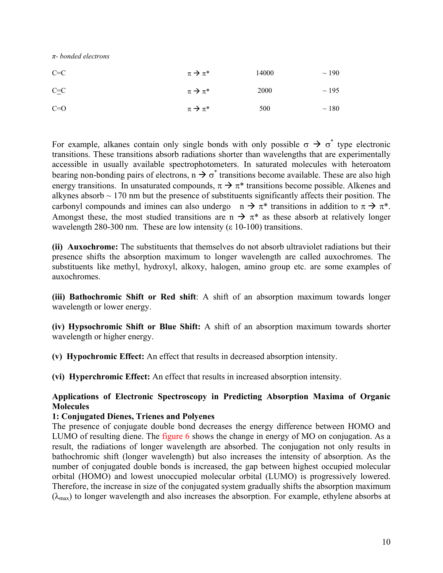<span id="page-9-0"></span>*π- bonded electrons*

| $C=C$    | $\pi \rightarrow \pi^*$ | 14000 | $\sim$ 190 |
|----------|-------------------------|-------|------------|
| $C=$ $C$ | $\pi \rightarrow \pi^*$ | 2000  | $\sim$ 195 |
| $C=O$    | $\pi \rightarrow \pi^*$ | 500   | $\sim$ 180 |

For example, alkanes contain only single bonds with only possible  $\sigma \to \sigma^*$  type electronic transitions. These transitions absorb radiations shorter than wavelengths that are experimentally accessible in usually available spectrophotometers. In saturated molecules with heteroatom bearing non-bonding pairs of electrons,  $n \rightarrow \sigma^*$  transitions become available. These are also high energy transitions. In unsaturated compounds,  $\pi \rightarrow \pi^*$  transitions become possible. Alkenes and alkynes absorb  $\sim$  170 nm but the presence of substituents significantly affects their position. The carbonyl compounds and imines can also undergo  $n \to \pi^*$  transitions in addition to  $\pi \to \pi^*$ . Amongst these, the most studied transitions are n  $\rightarrow \pi^*$  as these absorb at relatively longer wavelength 280-300 nm. These are low intensity ( $\varepsilon$  10-100) transitions.

**(ii) Auxochrome:** The substituents that themselves do not absorb ultraviolet radiations but their presence shifts the absorption maximum to longer wavelength are called auxochromes. The substituents like methyl, hydroxyl, alkoxy, halogen, amino group etc. are some examples of auxochromes.

**(iii) Bathochromic Shift or Red shift**: A shift of an absorption maximum towards longer wavelength or lower energy.

**(iv) Hypsochromic Shift or Blue Shift:** A shift of an absorption maximum towards shorter wavelength or higher energy.

**(v) Hypochromic Effect:** An effect that results in decreased absorption intensity.

**(vi) Hyperchromic Effect:** An effect that results in increased absorption intensity.

# **Applications of Electronic Spectroscopy in Predicting Absorption Maxima of Organic Molecules**

## **1: Conjugated Dienes, Trienes and Polyenes**

The presence of conjugate double bond decreases the energy difference between HOMO and LUMO of resulting diene. The figure 6 shows the change in energy of MO on conjugation. As a result, the radiations of longer wavelength are absorbed. The conjugation not only results in bathochromic shift (longer wavelength) but also increases the intensity of absorption. As the number of conjugated double bonds is increased, the gap between highest occupied molecular orbital (HOMO) and lowest unoccupied molecular orbital (LUMO) is progressively lowered. Therefore, the increase in size of the conjugated system gradually shifts the absorption maximum  $(\lambda_{\text{max}})$  to longer wavelength and also increases the absorption. For example, ethylene absorbs at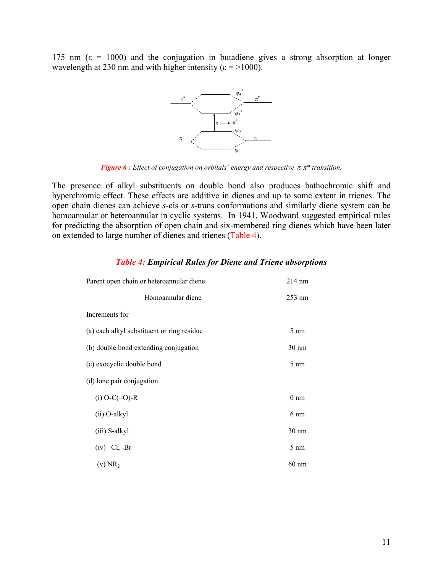175 nm ( $\varepsilon$  = 1000) and the conjugation in butadiene gives a strong absorption at longer wavelength at 230 nm and with higher intensity ( $\varepsilon$  = >1000).



*Figure 6 : Effect of conjugation on orbitals' energy and respective* π*-*π*\* transition.*

The presence of alkyl substituents on double bond also produces bathochromic shift and hyperchromic effect. These effects are additive in dienes and up to some extent in trienes. The open chain dienes can achieve *s*-cis or *s*-trans conformations and similarly diene system can be homoannular or heteroannular in cyclic systems. In 1941, Woodward suggested empirical rules for predicting the absorption of open chain and six-membered ring dienes which have been later on extended to large number of dienes and trienes (Table 4).

| Parent open chain or heteroannular diene   | 214 nm          |
|--------------------------------------------|-----------------|
| Homoannular diene                          | $253$ nm        |
| Increments for                             |                 |
| (a) each alkyl substituent or ring residue | $5 \text{ nm}$  |
| (b) double bond extending conjugation      | $30 \text{ nm}$ |
| (c) exocyclic double bond                  | $5 \text{ nm}$  |
| (d) lone pair conjugation                  |                 |
| $(i)$ O-C $(=0)$ -R                        | $0 \text{ nm}$  |
| (ii) O-alkyl                               | $6 \text{ nm}$  |
| (iii) S-alkyl                              | $30 \text{ nm}$ |
| $(iv)$ –Cl, -Br                            | $5 \text{ nm}$  |
| $(v)$ NR <sub>2</sub>                      | $60 \text{ nm}$ |

#### *Table 4: Empirical Rules for Diene and Triene absorptions*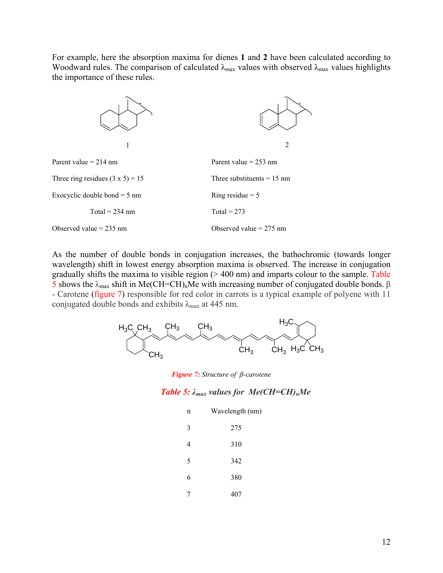For example, here the absorption maxima for dienes **1** and **2** have been calculated according to Woodward rules. The comparison of calculated  $\lambda_{\text{max}}$  values with observed  $\lambda_{\text{max}}$  values highlights the importance of these rules.



As the number of double bonds in conjugation increases, the bathochromic (towards longer wavelength) shift in lowest energy absorption maxima is observed. The increase in conjugation gradually shifts the maxima to visible region  $(> 400 \text{ nm})$  and imparts colour to the sample. Table 5 shows the  $λ_{max}$  shift in Me(CH=CH)<sub>n</sub>Me with increasing number of conjugated double bonds. β - Carotene (figure 7) responsible for red color in carrots is a typical example of polyene with 11 conjugated double bonds and exhibits  $\lambda_{\text{max}}$  at 445 nm.



*Figure 7: Structure of β-carotene* 

#### *Table 5: λmax values for Me(CH=CH)nMe*

| n | Wavelength (nm) |
|---|-----------------|
| 3 | 275             |
| 4 | 310             |
| 5 | 342             |
| 6 | 380             |
| 7 | 407             |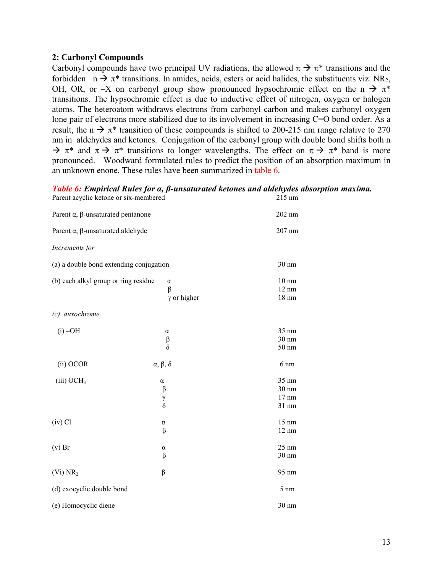## **2: Carbonyl Compounds**

Carbonyl compounds have two principal UV radiations, the allowed  $\pi \rightarrow \pi^*$  transitions and the forbidden  $n \to \pi^*$  transitions. In amides, acids, esters or acid halides, the substituents viz. NR<sub>2</sub>, OH, OR, or –X on carbonyl group show pronounced hypsochromic effect on the n  $\rightarrow \pi^*$ transitions. The hypsochromic effect is due to inductive effect of nitrogen, oxygen or halogen atoms. The heteroatom withdraws electrons from carbonyl carbon and makes carbonyl oxygen lone pair of electrons more stabilized due to its involvement in increasing C=O bond order. As a result, the n  $\rightarrow \pi^*$  transition of these compounds is shifted to 200-215 nm range relative to 270 nm in aldehydes and ketones. Conjugation of the carbonyl group with double bond shifts both n  $\rightarrow \pi^*$  and  $\pi \rightarrow \pi^*$  transitions to longer wavelengths. The effect on  $\pi \rightarrow \pi^*$  band is more pronounced. Woodward formulated rules to predict the position of an absorption maximum in an unknown enone. These rules have been summarized in table 6.

# *Table 6: Empirical Rules for α, β-unsaturated ketones and aldehydes absorption maxima.*

| Parent acyclic ketone or six-membered            | 215 nm                                    |                                                       |
|--------------------------------------------------|-------------------------------------------|-------------------------------------------------------|
| Parent $\alpha$ , $\beta$ -unsaturated pentanone | 202 nm                                    |                                                       |
| Parent $\alpha$ , $\beta$ -unsaturated aldehyde  |                                           | 207 nm                                                |
| Increments for                                   |                                           |                                                       |
| (a) a double bond extending conjugation          |                                           | 30 nm                                                 |
| (b) each alkyl group or ring residue             | $\alpha$<br>$\beta$<br>$\gamma$ or higher | $10 \text{ nm}$<br>$12 \text{ nm}$<br>$18 \text{ nm}$ |
| (c) auxochrome                                   |                                           |                                                       |
| $(i)$ -OH                                        | α<br>β<br>$\delta$                        | 35 nm<br>30 nm<br>$50 \text{ nm}$                     |
| (ii) OCOR                                        | $\alpha$ , $\beta$ , $\delta$             | $6 \text{ nm}$                                        |
| (iii) OCH <sub>3</sub>                           | $\alpha$<br>β<br>γ<br>$\dot{\delta}$      | 35 nm<br>30 nm<br>$17 \text{ nm}$<br>31 nm            |
| $(iv)$ Cl                                        | α<br>β                                    | 15 nm<br>$12 \text{ nm}$                              |
| $(v)$ Br                                         | α<br>β                                    | $25 \text{ nm}$<br>30 nm                              |
| (V <sub>i</sub> ) NR <sub>2</sub>                | β                                         | 95 nm                                                 |
| (d) exocyclic double bond                        |                                           | $5 \text{ nm}$                                        |
| (e) Homocyclic diene                             |                                           | 30 nm                                                 |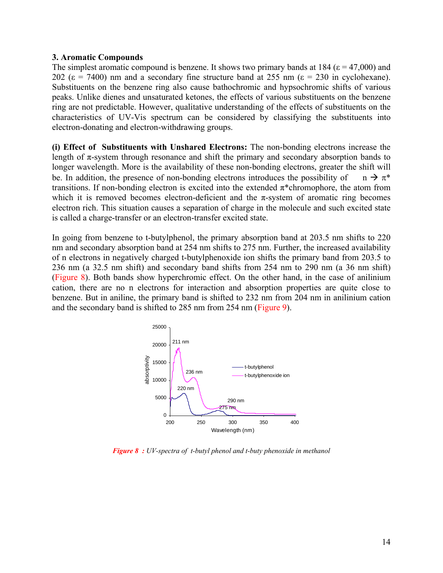#### **3. Aromatic Compounds**

The simplest aromatic compound is benzene. It shows two primary bands at 184 ( $\varepsilon$  = 47,000) and 202 ( $\varepsilon$  = 7400) nm and a secondary fine structure band at 255 nm ( $\varepsilon$  = 230 in cyclohexane). Substituents on the benzene ring also cause bathochromic and hypsochromic shifts of various peaks. Unlike dienes and unsaturated ketones, the effects of various substituents on the benzene ring are not predictable. However, qualitative understanding of the effects of substituents on the characteristics of UV-Vis spectrum can be considered by classifying the substituents into electron-donating and electron-withdrawing groups.

**(i) Effect of Substituents with Unshared Electrons:** The non-bonding electrons increase the length of  $\pi$ -system through resonance and shift the primary and secondary absorption bands to longer wavelength. More is the availability of these non-bonding electrons, greater the shift will be. In addition, the presence of non-bonding electrons introduces the possibility of  $n \to \pi^*$ transitions. If non-bonding electron is excited into the extended  $\pi^*$ chromophore, the atom from which it is removed becomes electron-deficient and the  $\pi$ -system of aromatic ring becomes electron rich. This situation causes a separation of charge in the molecule and such excited state is called a charge-transfer or an electron-transfer excited state.

In going from benzene to t-butylphenol, the primary absorption band at 203.5 nm shifts to 220 nm and secondary absorption band at 254 nm shifts to 275 nm. Further, the increased availability of n electrons in negatively charged t-butylphenoxide ion shifts the primary band from 203.5 to 236 nm (a 32.5 nm shift) and secondary band shifts from 254 nm to 290 nm (a 36 nm shift) (Figure 8). Both bands show hyperchromic effect. On the other hand, in the case of anilinium cation, there are no n electrons for interaction and absorption properties are quite close to benzene. But in aniline, the primary band is shifted to 232 nm from 204 nm in anilinium cation and the secondary band is shifted to 285 nm from 254 nm (Figure 9).



*Figure 8 : UV-spectra of t-butyl phenol and t-buty phenoxide in methanol*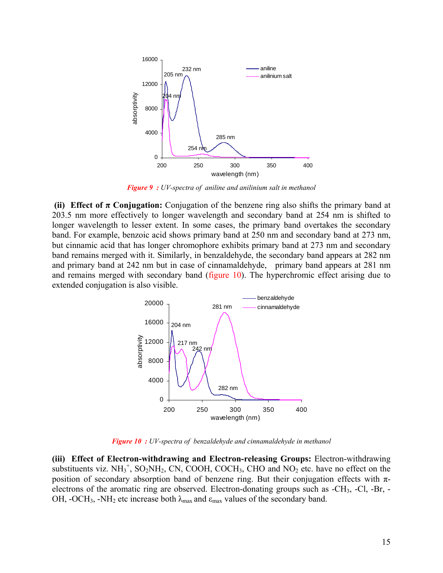

*Figure 9 : UV-spectra of aniline and anilinium salt in methanol*

**(ii) Effect of**  $\pi$  **Conjugation:** Conjugation of the benzene ring also shifts the primary band at 203.5 nm more effectively to longer wavelength and secondary band at 254 nm is shifted to longer wavelength to lesser extent. In some cases, the primary band overtakes the secondary band. For example, benzoic acid shows primary band at 250 nm and secondary band at 273 nm, but cinnamic acid that has longer chromophore exhibits primary band at 273 nm and secondary band remains merged with it. Similarly, in benzaldehyde, the secondary band appears at 282 nm and primary band at 242 nm but in case of cinnamaldehyde, primary band appears at 281 nm and remains merged with secondary band (figure 10). The hyperchromic effect arising due to extended conjugation is also visible.



*Figure 10 : UV-spectra of benzaldehyde and cinnamaldehyde in methanol*

**(iii) Effect of Electron-withdrawing and Electron-releasing Groups:** Electron-withdrawing substituents viz.  $NH_3^+$ ,  $SO_2NH_2$ , CN, COOH, COCH<sub>3</sub>, CHO and  $NO_2$  etc. have no effect on the position of secondary absorption band of benzene ring. But their conjugation effects with  $\pi$ electrons of the aromatic ring are observed. Electron-donating groups such as -CH3, -Cl, -Br, - OH, -OCH<sub>3</sub>, -NH<sub>2</sub> etc increase both  $\lambda_{\text{max}}$  and  $\varepsilon_{\text{max}}$  values of the secondary band.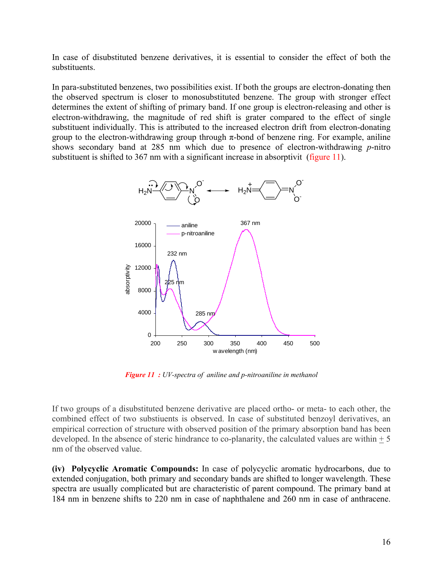In case of disubstituted benzene derivatives, it is essential to consider the effect of both the substituents.

In para-substituted benzenes, two possibilities exist. If both the groups are electron-donating then the observed spectrum is closer to monosubstituted benzene. The group with stronger effect determines the extent of shifting of primary band. If one group is electron-releasing and other is electron-withdrawing, the magnitude of red shift is grater compared to the effect of single substituent individually. This is attributed to the increased electron drift from electron-donating group to the electron-withdrawing group through  $\pi$ -bond of benzene ring. For example, aniline shows secondary band at 285 nm which due to presence of electron-withdrawing *p*-nitro substituent is shifted to 367 nm with a significant increase in absorptivit (figure 11).



*Figure 11 : UV-spectra of aniline and p-nitroaniline in methanol*

If two groups of a disubstituted benzene derivative are placed ortho- or meta- to each other, the combined effect of two substiuents is observed. In case of substituted benzoyl derivatives, an empirical correction of structure with observed position of the primary absorption band has been developed. In the absence of steric hindrance to co-planarity, the calculated values are within  $+5$ nm of the observed value.

**(iv) Polycyclic Aromatic Compounds:** In case of polycyclic aromatic hydrocarbons, due to extended conjugation, both primary and secondary bands are shifted to longer wavelength. These spectra are usually complicated but are characteristic of parent compound. The primary band at 184 nm in benzene shifts to 220 nm in case of naphthalene and 260 nm in case of anthracene.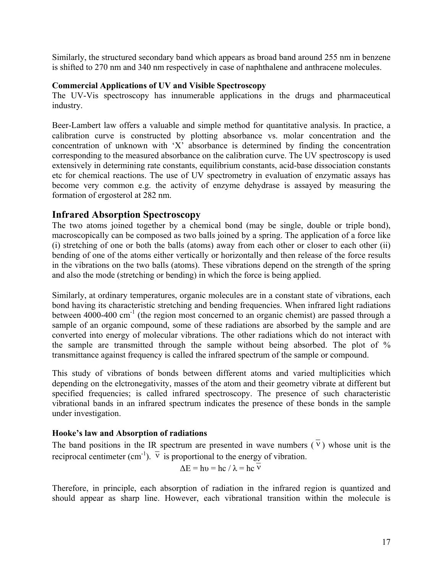<span id="page-16-0"></span>Similarly, the structured secondary band which appears as broad band around 255 nm in benzene is shifted to 270 nm and 340 nm respectively in case of naphthalene and anthracene molecules.

# **Commercial Applications of UV and Visible Spectroscopy**

The UV-Vis spectroscopy has innumerable applications in the drugs and pharmaceutical industry.

Beer-Lambert law offers a valuable and simple method for quantitative analysis. In practice, a calibration curve is constructed by plotting absorbance vs. molar concentration and the concentration of unknown with 'X' absorbance is determined by finding the concentration corresponding to the measured absorbance on the calibration curve. The UV spectroscopy is used extensively in determining rate constants, equilibrium constants, acid-base dissociation constants etc for chemical reactions. The use of UV spectrometry in evaluation of enzymatic assays has become very common e.g. the activity of enzyme dehydrase is assayed by measuring the formation of ergosterol at 282 nm.

# **Infrared Absorption Spectroscopy**

The two atoms joined together by a chemical bond (may be single, double or triple bond), macroscopically can be composed as two balls joined by a spring. The application of a force like (i) stretching of one or both the balls (atoms) away from each other or closer to each other (ii) bending of one of the atoms either vertically or horizontally and then release of the force results in the vibrations on the two balls (atoms). These vibrations depend on the strength of the spring and also the mode (stretching or bending) in which the force is being applied.

Similarly, at ordinary temperatures, organic molecules are in a constant state of vibrations, each bond having its characteristic stretching and bending frequencies. When infrared light radiations between 4000-400  $\text{cm}^{-1}$  (the region most concerned to an organic chemist) are passed through a sample of an organic compound, some of these radiations are absorbed by the sample and are converted into energy of molecular vibrations. The other radiations which do not interact with the sample are transmitted through the sample without being absorbed. The plot of % transmittance against frequency is called the infrared spectrum of the sample or compound.

This study of vibrations of bonds between different atoms and varied multiplicities which depending on the elctronegativity, masses of the atom and their geometry vibrate at different but specified frequencies; is called infrared spectroscopy. The presence of such characteristic vibrational bands in an infrared spectrum indicates the presence of these bonds in the sample under investigation.

# **Hooke's law and Absorption of radiations**

The band positions in the IR spectrum are presented in wave numbers  $(\overline{v})$  whose unit is the reciprocal centimeter (cm<sup>-1</sup>).  $\overline{v}$  is proportional to the energy of vibration.

$$
\Delta E = h v = h c / \lambda = h c \overline{v}
$$

Therefore, in principle, each absorption of radiation in the infrared region is quantized and should appear as sharp line. However, each vibrational transition within the molecule is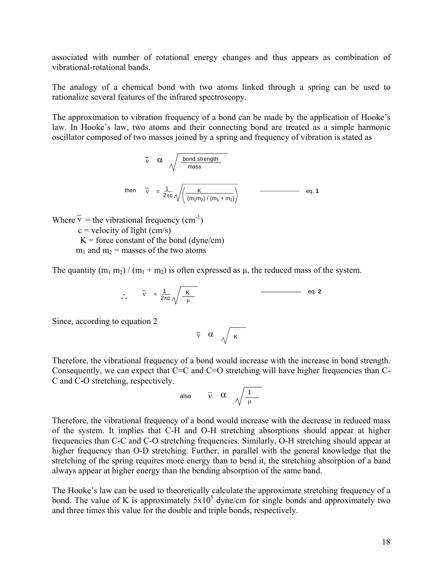associated with number of rotational energy changes and thus appears as combination of vibrational-rotational bands.

The analogy of a chemical bond with two atoms linked through a spring can be used to rationalize several features of the infrared spectroscopy.

The approximation to vibration frequency of a bond can be made by the application of Hooke's law. In Hooke's law, two atoms and their connecting bond are treated as a simple harmonic oscillator composed of two masses joined by a spring and frequency of vibration is stated as

$$
\overline{v} \quad \alpha \quad \sqrt{\frac{\text{bond strength}}{\text{mass}}}
$$
\nthen\n
$$
\overline{v} = \frac{1}{2\pi c} \sqrt{\left(\frac{K}{(m_1 m_2) / (m_1 + m_2)}\right)}
$$
\n
$$
\qquad \qquad \text{eq. 1}
$$

Where  $\overline{v}$  = the vibrational frequency (cm<sup>-1</sup>)

 $c =$  velocity of light (cm/s)  $K =$  force constant of the bond (dyne/cm)  $m_1$  and  $m_2$  = masses of the two atoms

The quantity  $(m_1 m_2) / (m_1 + m_2)$  is often expressed as  $\mu$ , the reduced mass of the system.

$$
\therefore \qquad \overline{v} = \frac{1}{2\pi c} \sqrt{\frac{K}{\mu}} \qquad \qquad \qquad \qquad \qquad \text{eq. 2}
$$

Since, according to equation 2

$$
\overline{\mathbf{v}} \quad \alpha \quad \sqrt{\mathbf{k}}
$$

Therefore, the vibrational frequency of a bond would increase with the increase in bond strength. Consequently, we can expect that  $C=C$  and  $C=O$  stretching will have higher frequencies than  $C-C$ C and C-O stretching, respectively.

also 
$$
\bar{v} \alpha \sqrt{\frac{1}{\mu}}
$$

Therefore, the vibrational frequency of a bond would increase with the decrease in reduced mass of the system. It implies that C-H and O-H stretching absorptions should appear at higher frequencies than C-C and C-O stretching frequencies. Similarly, O-H stretching should appear at higher frequency than O-D stretching. Further, in parallel with the general knowledge that the stretching of the spring requires more energy than to bend it, the stretching absorption of a band always appear at higher energy than the bending absorption of the same band.

The Hooke's law can be used to theoretically calculate the approximate stretching frequency of a bond. The value of K is approximately  $5x10^5$  dyne/cm for single bonds and approximately two and three times this value for the double and triple bonds, respectively.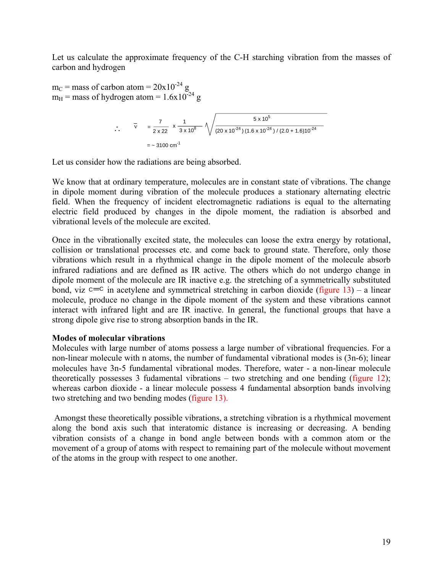<span id="page-18-0"></span>Let us calculate the approximate frequency of the C-H starching vibration from the masses of carbon and hydrogen

 $m_C$  = mass of carbon atom = 20x10<sup>-24</sup> g  $m_H$  = mass of hydrogen atom = 1.6x10<sup>-24</sup> g

$$
\therefore \qquad \overline{v} = \frac{7}{2 \times 22} \times \frac{1}{3 \times 10^8} \sqrt{\frac{5 \times 10^5}{(20 \times 10^{-24})(1.6 \times 10^{-24})/(2.0 + 1.6)10^{-24}}}
$$
  
= ~ 3100 cm<sup>-1</sup>

Let us consider how the radiations are being absorbed.

We know that at ordinary temperature, molecules are in constant state of vibrations. The change in dipole moment during vibration of the molecule produces a stationary alternating electric field. When the frequency of incident electromagnetic radiations is equal to the alternating electric field produced by changes in the dipole moment, the radiation is absorbed and vibrational levels of the molecule are excited.

Once in the vibrationally excited state, the molecules can loose the extra energy by rotational, collision or translational processes etc. and come back to ground state. Therefore, only those vibrations which result in a rhythmical change in the dipole moment of the molecule absorb infrared radiations and are defined as IR active. The others which do not undergo change in dipole moment of the molecule are IR inactive e.g. the stretching of a symmetrically substituted bond, viz  $c \equiv c$  in acetylene and symmetrical stretching in carbon dioxide (figure 13) – a linear molecule, produce no change in the dipole moment of the system and these vibrations cannot interact with infrared light and are IR inactive. In general, the functional groups that have a strong dipole give rise to strong absorption bands in the IR.

## **Modes of molecular vibrations**

Molecules with large number of atoms possess a large number of vibrational frequencies. For a non-linear molecule with n atoms, the number of fundamental vibrational modes is (3n-6); linear molecules have 3n-5 fundamental vibrational modes. Therefore, water - a non-linear molecule theoretically possesses 3 fudamental vibrations – two stretching and one bending (figure 12); whereas carbon dioxide - a linear molecule possess 4 fundamental absorption bands involving two stretching and two bending modes (figure 13).

Amongst these theoretically possible vibrations, a stretching vibration is a rhythmical movement along the bond axis such that interatomic distance is increasing or decreasing. A bending vibration consists of a change in bond angle between bonds with a common atom or the movement of a group of atoms with respect to remaining part of the molecule without movement of the atoms in the group with respect to one another.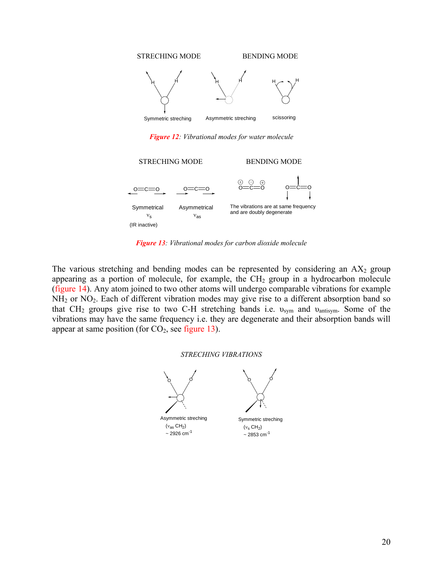

*Figure 12: Vibrational modes for water molecule* 



*Figure 13: Vibrational modes for carbon dioxide molecule* 

The various stretching and bending modes can be represented by considering an  $AX_2$  group appearing as a portion of molecule, for example, the  $CH<sub>2</sub>$  group in a hydrocarbon molecule (figure 14). Any atom joined to two other atoms will undergo comparable vibrations for example NH<sub>2</sub> or NO<sub>2</sub>. Each of different vibration modes may give rise to a different absorption band so that CH<sub>2</sub> groups give rise to two C-H stretching bands i.e.  $v_{sym}$  and  $v_{antisym}$ . Some of the vibrations may have the same frequency i.e. they are degenerate and their absorption bands will appear at same position (for  $CO<sub>2</sub>$ , see figure 13).

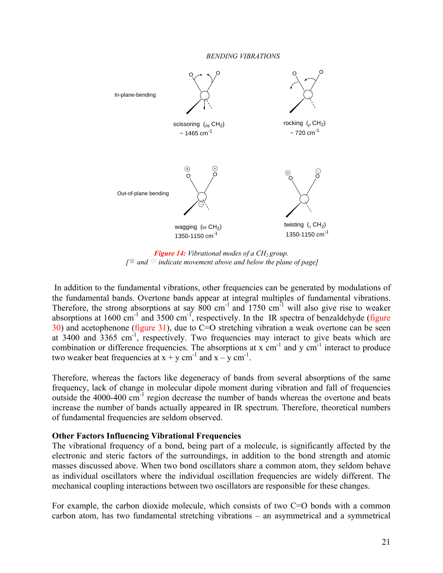*BENDING VIBRATIONS* 

<span id="page-20-0"></span>

*Figure 14: Vibrational modes of a*  $CH<sub>2</sub>$  *group.*  $\int \theta$  and  $\Theta$  indicate movement above and below the plane of page]

In addition to the fundamental vibrations, other frequencies can be generated by modulations of the fundamental bands. Overtone bands appear at integral multiples of fundamental vibrations. Therefore, the strong absorptions at say  $800 \text{ cm}^{-1}$  and  $1750 \text{ cm}^{-1}$  will also give rise to weaker absorptions at 1600  $\text{cm}^{-1}$  and 3500  $\text{cm}^{-1}$ , respectively. In the IR spectra of benzaldehyde (figure  $30$ ) and acetophenone (figure 31), due to C=O stretching vibration a weak overtone can be seen at 3400 and  $3365 \text{ cm}^3$ , respectively. Two frequencies may interact to give beats which are combination or difference frequencies. The absorptions at  $x \text{ cm}^{-1}$  and  $y \text{ cm}^{-1}$  interact to produce two weaker beat frequencies at  $x + y$  cm<sup>-1</sup> and  $x - y$  cm<sup>-1</sup>.

Therefore, whereas the factors like degeneracy of bands from several absorptions of the same frequency, lack of change in molecular dipole moment during vibration and fall of frequencies outside the  $4000-400$  cm<sup>-1</sup> region decrease the number of bands whereas the overtone and beats increase the number of bands actually appeared in IR spectrum. Therefore, theoretical numbers of fundamental frequencies are seldom observed.

## **Other Factors Influencing Vibrational Frequencies**

The vibrational frequency of a bond, being part of a molecule, is significantly affected by the electronic and steric factors of the surroundings, in addition to the bond strength and atomic masses discussed above. When two bond oscillators share a common atom, they seldom behave as individual oscillators where the individual oscillation frequencies are widely different. The mechanical coupling interactions between two oscillators are responsible for these changes.

For example, the carbon dioxide molecule, which consists of two C=O bonds with a common carbon atom, has two fundamental stretching vibrations – an asymmetrical and a symmetrical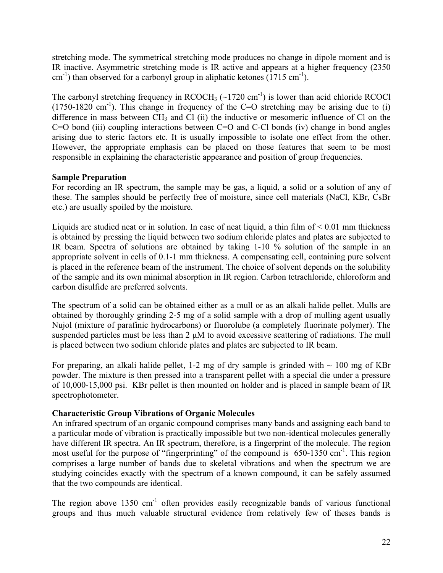<span id="page-21-0"></span>stretching mode. The symmetrical stretching mode produces no change in dipole moment and is IR inactive. Asymmetric stretching mode is IR active and appears at a higher frequency (2350  $\text{cm}^{-1}$ ) than observed for a carbonyl group in aliphatic ketones (1715 cm<sup>-1</sup>).

The carbonyl stretching frequency in  $RCOCH_3$  (~1720 cm<sup>-1</sup>) is lower than acid chloride RCOCl  $(1750-1820 \text{ cm}^{-1})$ . This change in frequency of the C=O stretching may be arising due to (i) difference in mass between  $CH_3$  and Cl (ii) the inductive or mesomeric influence of Cl on the C=O bond (iii) coupling interactions between C=O and C-Cl bonds (iv) change in bond angles arising due to steric factors etc. It is usually impossible to isolate one effect from the other. However, the appropriate emphasis can be placed on those features that seem to be most responsible in explaining the characteristic appearance and position of group frequencies.

# **Sample Preparation**

For recording an IR spectrum, the sample may be gas, a liquid, a solid or a solution of any of these. The samples should be perfectly free of moisture, since cell materials (NaCl, KBr, CsBr etc.) are usually spoiled by the moisture.

Liquids are studied neat or in solution. In case of neat liquid, a thin film of  $\leq 0.01$  mm thickness is obtained by pressing the liquid between two sodium chloride plates and plates are subjected to IR beam. Spectra of solutions are obtained by taking 1-10 % solution of the sample in an appropriate solvent in cells of 0.1-1 mm thickness. A compensating cell, containing pure solvent is placed in the reference beam of the instrument. The choice of solvent depends on the solubility of the sample and its own minimal absorption in IR region. Carbon tetrachloride, chloroform and carbon disulfide are preferred solvents.

The spectrum of a solid can be obtained either as a mull or as an alkali halide pellet. Mulls are obtained by thoroughly grinding 2-5 mg of a solid sample with a drop of mulling agent usually Nujol (mixture of parafinic hydrocarbons) or fluorolube (a completely fluorinate polymer). The suspended particles must be less than 2  $\mu$ M to avoid excessive scattering of radiations. The mull is placed between two sodium chloride plates and plates are subjected to IR beam.

For preparing, an alkali halide pellet, 1-2 mg of dry sample is grinded with  $\sim 100$  mg of KBr powder. The mixture is then pressed into a transparent pellet with a special die under a pressure of 10,000-15,000 psi. KBr pellet is then mounted on holder and is placed in sample beam of IR spectrophotometer.

# **Characteristic Group Vibrations of Organic Molecules**

An infrared spectrum of an organic compound comprises many bands and assigning each band to a particular mode of vibration is practically impossible but two non-identical molecules generally have different IR spectra. An IR spectrum, therefore, is a fingerprint of the molecule. The region most useful for the purpose of "fingerprinting" of the compound is 650-1350 cm<sup>-1</sup>. This region comprises a large number of bands due to skeletal vibrations and when the spectrum we are studying coincides exactly with the spectrum of a known compound, it can be safely assumed that the two compounds are identical.

The region above  $1350 \text{ cm}^{-1}$  often provides easily recognizable bands of various functional groups and thus much valuable structural evidence from relatively few of theses bands is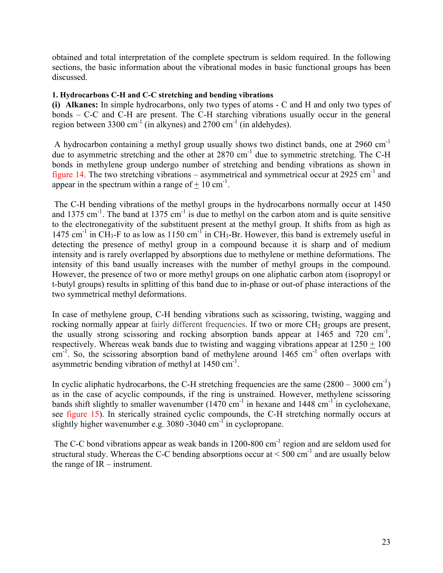obtained and total interpretation of the complete spectrum is seldom required. In the following sections, the basic information about the vibrational modes in basic functional groups has been discussed.

## **1. Hydrocarbons C-H and C-C stretching and bending vibrations**

**(i) Alkanes:** In simple hydrocarbons, only two types of atoms - C and H and only two types of bonds – C-C and C-H are present. The C-H starching vibrations usually occur in the general region between 3300 cm<sup>-1</sup> (in alkynes) and 2700 cm<sup>-1</sup> (in aldehydes).

A hydrocarbon containing a methyl group usually shows two distinct bands, one at 2960 cm-1 due to asymmetric stretching and the other at  $2870 \text{ cm}^{-1}$  due to symmetric stretching. The C-H bonds in methylene group undergo number of stretching and bending vibrations as shown in figure 14. The two stretching vibrations – asymmetrical and symmetrical occur at 2925 cm<sup>-1</sup> and appear in the spectrum within a range of  $+10 \text{ cm}^{-1}$ .

The C-H bending vibrations of the methyl groups in the hydrocarbons normally occur at 1450 and 1375 cm<sup>-1</sup>. The band at 1375 cm<sup>-1</sup> is due to methyl on the carbon atom and is quite sensitive to the electronegativity of the substituent present at the methyl group. It shifts from as high as 1475 cm<sup>-1</sup> in CH<sub>3</sub>-F to as low as 1150 cm<sup>-1</sup> in CH<sub>3</sub>-Br. However, this band is extremely useful in detecting the presence of methyl group in a compound because it is sharp and of medium intensity and is rarely overlapped by absorptions due to methylene or methine deformations. The intensity of this band usually increases with the number of methyl groups in the compound. However, the presence of two or more methyl groups on one aliphatic carbon atom (isopropyl or t-butyl groups) results in splitting of this band due to in-phase or out-of phase interactions of the two symmetrical methyl deformations.

In case of methylene group, C-H bending vibrations such as scissoring, twisting, wagging and rocking normally appear at fairly different frequencies. If two or more  $CH<sub>2</sub>$  groups are present, the usually strong scissoring and rocking absorption bands appear at  $1465$  and  $720 \text{ cm}^{-1}$ , respectively. Whereas weak bands due to twisting and wagging vibrations appear at  $1250 + 100$  $cm^{-1}$ . So, the scissoring absorption band of methylene around 1465  $cm^{-1}$  often overlaps with asymmetric bending vibration of methyl at  $1450 \text{ cm}^{-1}$ .

In cyclic aliphatic hydrocarbons, the C-H stretching frequencies are the same  $(2800 - 3000 \text{ cm}^{-1})$ as in the case of acyclic compounds, if the ring is unstrained. However, methylene scissoring bands shift slightly to smaller wavenumber  $(1470 \text{ cm}^{-1})$  in hexane and  $1448 \text{ cm}^{-1}$  in cyclohexane, see figure 15). In sterically strained cyclic compounds, the C-H stretching normally occurs at slightly higher wavenumber e.g.  $3080 - 3040$  cm<sup>-1</sup> in cyclopropane.

The C-C bond vibrations appear as weak bands in 1200-800 cm<sup>-1</sup> region and are seldom used for structural study. Whereas the C-C bending absorptions occur at  $\leq 500 \text{ cm}^{-1}$  and are usually below the range of IR – instrument.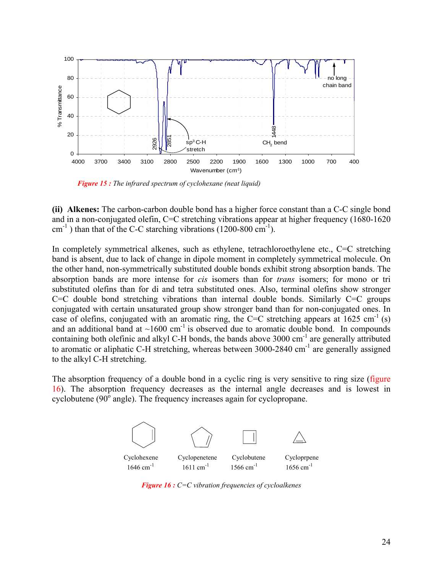

 *Figure 15 : The infrared spectrum of cyclohexane (neat liquid)*

**(ii) Alkenes:** The carbon-carbon double bond has a higher force constant than a C-C single bond and in a non-conjugated olefin, C=C stretching vibrations appear at higher frequency (1680-1620  $cm^{-1}$ ) than that of the C-C starching vibrations (1200-800  $cm^{-1}$ ).

In completely symmetrical alkenes, such as ethylene, tetrachloroethylene etc., C=C stretching band is absent, due to lack of change in dipole moment in completely symmetrical molecule. On the other hand, non-symmetrically substituted double bonds exhibit strong absorption bands. The absorption bands are more intense for *cis* isomers than for *trans* isomers; for mono or tri substituted olefins than for di and tetra substituted ones. Also, terminal olefins show stronger  $C=C$  double bond stretching vibrations than internal double bonds. Similarly  $C=C$  groups conjugated with certain unsaturated group show stronger band than for non-conjugated ones. In case of olefins, conjugated with an aromatic ring, the C=C stretching appears at  $1625 \text{ cm}^{-1}$  (s) and an additional band at  $\sim 1600 \text{ cm}^{-1}$  is observed due to aromatic double bond. In compounds containing both olefinic and alkyl C-H bonds, the bands above  $3000 \text{ cm}^{-1}$  are generally attributed to aromatic or aliphatic C-H stretching, whereas between  $3000-2840$  cm<sup>-1</sup> are generally assigned to the alkyl C-H stretching.

The absorption frequency of a double bond in a cyclic ring is very sensitive to ring size (figure 16). The absorption frequency decreases as the internal angle decreases and is lowest in cyclobutene ( $90^{\circ}$  angle). The frequency increases again for cyclopropane.



*Figure 16 : C=C vibration frequencies of cycloalkenes*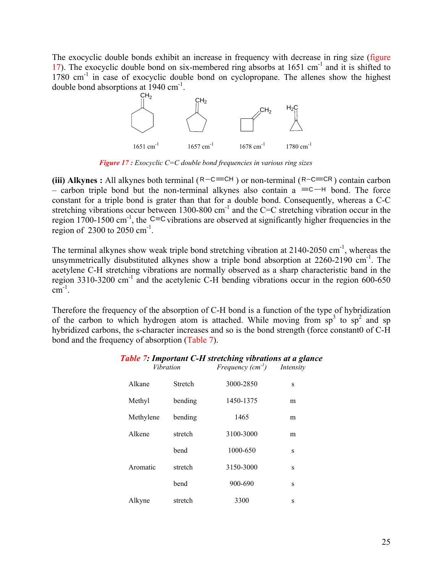The exocyclic double bonds exhibit an increase in frequency with decrease in ring size (figure 17). The exocyclic double bond on six-membered ring absorbs at  $1651 \text{ cm}^{-1}$  and it is shifted to  $1780 \text{ cm}^{-1}$  in case of exocyclic double bond on cyclopropane. The allenes show the highest double bond absorptions at  $1940 \text{ cm}^{-1}$ .



 *Figure 17 : Exocyclic C=C double bond frequencies in various ring sizes* 

**(iii) Alkynes :** All alkynes both terminal ( $R-C \equiv CH$ ) or non-terminal ( $R-C \equiv CR$ ) contain carbon – carbon triple bond but the non-terminal alkynes also contain a  $\equiv$ C $-H$  bond. The force constant for a triple bond is grater than that for a double bond. Consequently, whereas a C-C stretching vibrations occur between 1300-800  $cm^{-1}$  and the C=C stretching vibration occur in the region 1700-1500 cm<sup>-1</sup>, the C=C vibrations are observed at significantly higher frequencies in the region of  $2300$  to  $2050$  cm<sup>-1</sup>.

The terminal alkynes show weak triple bond stretching vibration at 2140-2050 cm<sup>-1</sup>, whereas the unsymmetrically disubstituted alkynes show a triple bond absorption at 2260-2190 cm<sup>-1</sup>. The acetylene C-H stretching vibrations are normally observed as a sharp characteristic band in the region  $3310-3200$  cm<sup>-1</sup> and the acetylenic C-H bending vibrations occur in the region 600-650  $cm^{-1}$ .

Therefore the frequency of the absorption of C-H bond is a function of the type of hybridization of the carbon to which hydrogen atom is attached. While moving from  $sp^3$  to  $sp^2$  and sp hybridized carbons, the s-character increases and so is the bond strength (force constant0 of C-H bond and the frequency of absorption (Table 7).

| Alkane    | <b>Stretch</b> | 3000-2850 | S |
|-----------|----------------|-----------|---|
| Methyl    | bending        | 1450-1375 | m |
| Methylene | bending        | 1465      | m |
| Alkene    | stretch        | 3100-3000 | m |
|           | bend           | 1000-650  | S |
| Aromatic  | stretch        | 3150-3000 | S |
|           | bend           | 900-690   | S |
| Alkyne    | stretch        | 3300      | S |

#### *Table 7: Important C-H stretching vibrations at a glance Vibration Frequency (cm-1) Intensity*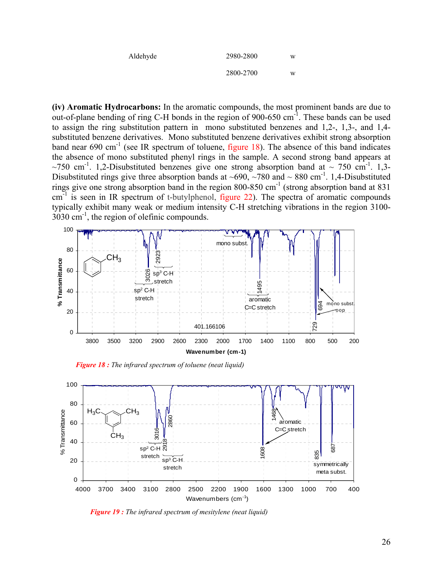| Aldehyde | 2980-2800 | w |
|----------|-----------|---|
|          | 2800-2700 | w |

**(iv) Aromatic Hydrocarbons:** In the aromatic compounds, the most prominent bands are due to out-of-plane bending of ring C-H bonds in the region of 900-650  $cm^{-1}$ . These bands can be used to assign the ring substitution pattern in mono substituted benzenes and 1,2-, 1,3-, and 1,4 substituted benzene derivatives. Mono substituted benzene derivatives exhibit strong absorption band near  $690 \text{ cm}^{-1}$  (see IR spectrum of toluene, figure 18). The absence of this band indicates the absence of mono substituted phenyl rings in the sample. A second strong band appears at ~750 cm<sup>-1</sup>. 1,2-Disubstituted benzenes give one strong absorption band at ~ 750 cm<sup>-1</sup>. 1,3-Disubstituted rings give three absorption bands at  $\sim 690$ ,  $\sim 780$  and  $\sim 880$  cm<sup>-1</sup>. 1,4-Disubstituted rings give one strong absorption band in the region 800-850 cm<sup>-1</sup> (strong absorption band at 831)  $cm<sup>-1</sup>$  is seen in IR spectrum of t-butylphenol, figure 22). The spectra of aromatic compounds typically exhibit many weak or medium intensity C-H stretching vibrations in the region 3100- 3030 cm-1, the region of olefinic compounds.



 *Figure 18 : The infrared spectrum of toluene (neat liquid)*



 *Figure 19 : The infrared spectrum of mesitylene (neat liquid)*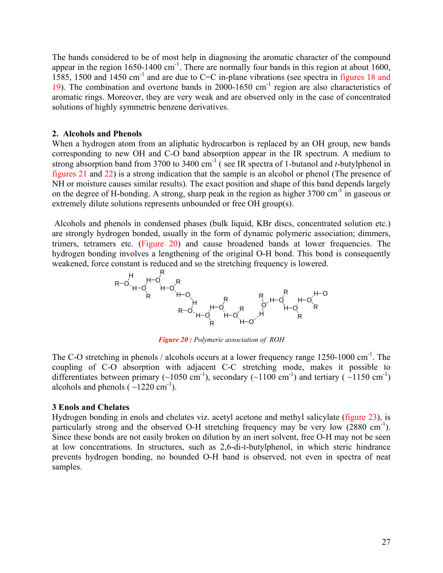The bands considered to be of most help in diagnosing the aromatic character of the compound appear in the region  $1650-1400$  cm<sup>-1</sup>. There are normally four bands in this region at about 1600, 1585, 1500 and 1450 cm-1 and are due to C=C in-plane vibrations (see spectra in figures 18 and 19). The combination and overtone bands in 2000-1650  $\text{cm}^{-1}$  region are also characteristics of aromatic rings. Moreover, they are very weak and are observed only in the case of concentrated solutions of highly symmetric benzene derivatives.

#### **2. Alcohols and Phenols**

When a hydrogen atom from an aliphatic hydrocarbon is replaced by an OH group, new bands corresponding to new OH and C-O band absorption appear in the IR spectrum. A medium to strong absorption band from 3700 to 3400 cm-1 ( see IR spectra of 1-butanol and *t*-butylphenol in figures 21 and 22) is a strong indication that the sample is an alcohol or phenol (The presence of NH or moisture causes similar results). The exact position and shape of this band depends largely on the degree of H-bonding. A strong, sharp peak in the region as higher 3700 cm<sup>-1</sup> in gaseous or extremely dilute solutions represents unbounded or free OH group(s).

Alcohols and phenols in condensed phases (bulk liquid, KBr discs, concentrated solution etc.) are strongly hydrogen bonded, usually in the form of dynamic polymeric association; dimmers, trimers, tetramers etc. (Figure 20) and cause broadened bands at lower frequencies. The hydrogen bonding involves a lengthening of the original O-H bond. This bond is consequently weakened, force constant is reduced and so the stretching frequency is lowered.



*Figure 20 : Polymeric association of ROH* 

The C-O stretching in phenols / alcohols occurs at a lower frequency range 1250-1000 cm<sup>-1</sup>. The coupling of C-O absorption with adjacent C-C stretching mode, makes it possible to differentiates between primary (~1050 cm<sup>-1</sup>), secondary (~1100 cm<sup>-1</sup>) and tertiary (~1150 cm<sup>-1</sup>) alcohols and phenols  $(-1220 \text{ cm}^{-1})$ .

#### **3 Enols and Chelates**

Hydrogen bonding in enols and chelates viz. acetyl acetone and methyl salicylate (figure 23), is particularly strong and the observed O-H stretching frequency may be very low  $(2880 \text{ cm}^{-1})$ . Since these bonds are not easily broken on dilution by an inert solvent, free O-H may not be seen at low concentrations. In structures, such as 2,6-di-t-butylphenol, in which steric hindrance prevents hydrogen bonding, no bounded O-H band is observed, not even in spectra of neat samples.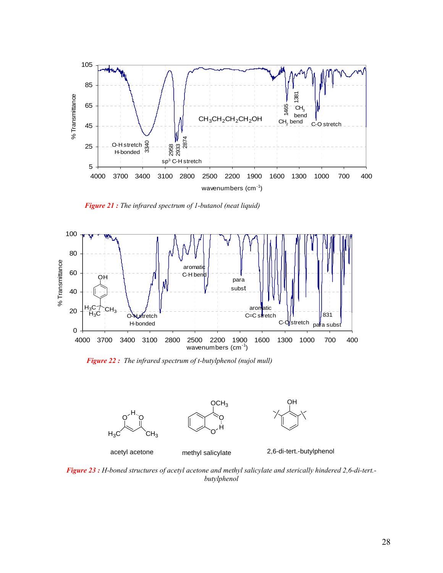

 *Figure 21 : The infrared spectrum of 1-butanol (neat liquid)*



*Figure 22 : The infrared spectrum of t-butylphenol (nujol mull)*







acetyl acetone methyl salicylate 2,6-di-tert.-butylphenol

*Figure 23 : H-boned structures of acetyl acetone and methyl salicylate and sterically hindered 2,6-di-tert. butylphenol*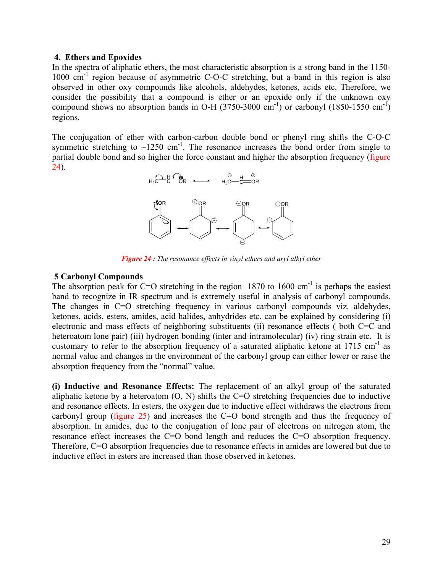#### **4. Ethers and Epoxides**

In the spectra of aliphatic ethers, the most characteristic absorption is a strong band in the 1150-  $1000 \text{ cm}^{-1}$  region because of asymmetric C-O-C stretching, but a band in this region is also observed in other oxy compounds like alcohols, aldehydes, ketones, acids etc. Therefore, we consider the possibility that a compound is ether or an epoxide only if the unknown oxy compound shows no absorption bands in O-H (3750-3000 cm<sup>-1</sup>) or carbonyl (1850-1550 cm<sup>-1</sup>) regions.

The conjugation of ether with carbon-carbon double bond or phenyl ring shifts the C-O-C symmetric stretching to  $\sim$ 1250 cm<sup>-1</sup>. The resonance increases the bond order from single to partial double bond and so higher the force constant and higher the absorption frequency (figure 24).



*Figure 24 : The resonance effects in vinyl ethers and aryl alkyl ether* 

## **5 Carbonyl Compounds**

The absorption peak for C=O stretching in the region 1870 to 1600 cm<sup>-1</sup> is perhaps the easiest band to recognize in IR spectrum and is extremely useful in analysis of carbonyl compounds. The changes in C=O stretching frequency in various carbonyl compounds viz. aldehydes, ketones, acids, esters, amides, acid halides, anhydrides etc. can be explained by considering (i) electronic and mass effects of neighboring substituents (ii) resonance effects ( both C=C and heteroatom lone pair) (iii) hydrogen bonding (inter and intramolecular) (iv) ring strain etc. It is customary to refer to the absorption frequency of a saturated aliphatic ketone at  $1715 \text{ cm}^{-1}$  as normal value and changes in the environment of the carbonyl group can either lower or raise the absorption frequency from the "normal" value.

**(i) Inductive and Resonance Effects:** The replacement of an alkyl group of the saturated aliphatic ketone by a heteroatom  $(O, N)$  shifts the C=O stretching frequencies due to inductive and resonance effects. In esters, the oxygen due to inductive effect withdraws the electrons from carbonyl group (figure 25) and increases the C=O bond strength and thus the frequency of absorption. In amides, due to the conjugation of lone pair of electrons on nitrogen atom, the resonance effect increases the C=O bond length and reduces the C=O absorption frequency. Therefore, C=O absorption frequencies due to resonance effects in amides are lowered but due to inductive effect in esters are increased than those observed in ketones.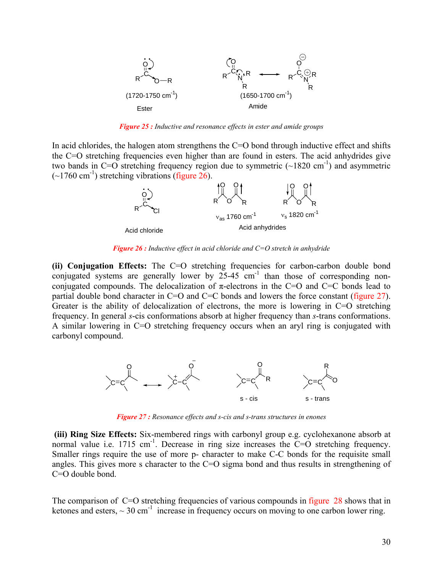

*Figure 25 : Inductive and resonance effects in ester and amide groups* 

In acid chlorides, the halogen atom strengthens the  $C=O$  bond through inductive effect and shifts the C=O stretching frequencies even higher than are found in esters. The acid anhydrides give two bands in C=O stretching frequency region due to symmetric  $(\sim 1820 \text{ cm}^{-1})$  and asymmetric  $(-1760 \text{ cm}^3)$  stretching vibrations (figure 26).



*Figure 26 : Inductive effect in acid chloride and C=O stretch in anhydride* 

**(ii) Conjugation Effects:** The C=O stretching frequencies for carbon-carbon double bond conjugated systems are generally lower by  $25-45$  cm<sup>-1</sup> than those of corresponding nonconjugated compounds. The delocalization of  $\pi$ -electrons in the C=O and C=C bonds lead to partial double bond character in C=O and C=C bonds and lowers the force constant (figure 27). Greater is the ability of delocalization of electrons, the more is lowering in C=O stretching frequency. In general *s*-cis conformations absorb at higher frequency than *s*-trans conformations. A similar lowering in C=O stretching frequency occurs when an aryl ring is conjugated with carbonyl compound.



*Figure 27 : Resonance effects and s-cis and s-trans structures in enones* 

**(iii) Ring Size Effects:** Six-membered rings with carbonyl group e.g. cyclohexanone absorb at normal value i.e.  $1715 \text{ cm}^{-1}$ . Decrease in ring size increases the C=O stretching frequency. Smaller rings require the use of more p- character to make C-C bonds for the requisite small angles. This gives more s character to the C=O sigma bond and thus results in strengthening of C=O double bond.

The comparison of C=O stretching frequencies of various compounds in figure 28 shows that in ketones and esters,  $\sim 30 \text{ cm}^{-1}$  increase in frequency occurs on moving to one carbon lower ring.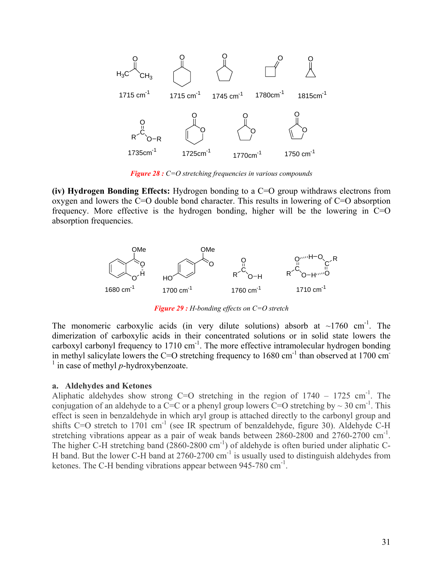

*Figure 28 : C=O stretching frequencies in various compounds* 

**(iv) Hydrogen Bonding Effects:** Hydrogen bonding to a C=O group withdraws electrons from oxygen and lowers the C=O double bond character. This results in lowering of C=O absorption frequency. More effective is the hydrogen bonding, higher will be the lowering in C=O absorption frequencies.



*Figure 29 : H-bonding effects on C=O stretch* 

The monomeric carboxylic acids (in very dilute solutions) absorb at  $\sim$ 1760 cm<sup>-1</sup>. The dimerization of carboxylic acids in their concentrated solutions or in solid state lowers the carboxyl carbonyl frequency to  $1710 \text{ cm}^{-1}$ . The more effective intramolecular hydrogen bonding in methyl salicylate lowers the C=O stretching frequency to  $1680 \text{ cm}^{-1}$  than observed at 1700 cm  $\frac{1}{1}$  in case of methyl *p*-hydroxybenzoate.

### **a. Aldehydes and Ketones**

Aliphatic aldehydes show strong C=O stretching in the region of  $1740 - 1725$  cm<sup>-1</sup>. The conjugation of an aldehyde to a C=C or a phenyl group lowers  $\overline{C}$ =O stretching by ~ 30 cm<sup>-1</sup>. This effect is seen in benzaldehyde in which aryl group is attached directly to the carbonyl group and shifts C=O stretch to 1701 cm<sup>-1</sup> (see IR spectrum of benzaldehyde, figure 30). Aldehyde C-H stretching vibrations appear as a pair of weak bands between  $2860-2800$  and  $2760-2700$  cm<sup>-1</sup>. The higher C-H stretching band (2860-2800 cm<sup>-1</sup>) of aldehyde is often buried under aliphatic C-H band. But the lower C-H band at  $2760-2700$  cm<sup>-1</sup> is usually used to distinguish aldehydes from ketones. The C-H bending vibrations appear between  $945-780$  cm<sup>-1</sup>.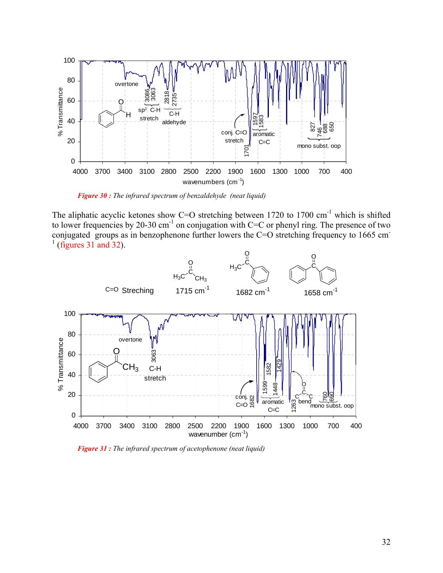

 *Figure 30 : The infrared spectrum of benzaldehyde (neat liquid)*

The aliphatic acyclic ketones show C=O stretching between  $1720$  to  $1700$  cm<sup>-1</sup> which is shifted to lower frequencies by 20-30 cm<sup>-1</sup> on conjugation with C=C or phenyl ring. The presence of two conjugated groups as in benzophenone further lowers the C=O stretching frequency to 1665 cm<sup>-</sup>  $<sup>1</sup>$  (figures 31 and 32).</sup>



 *Figure 31 : The infrared spectrum of acetophenone (neat liquid)*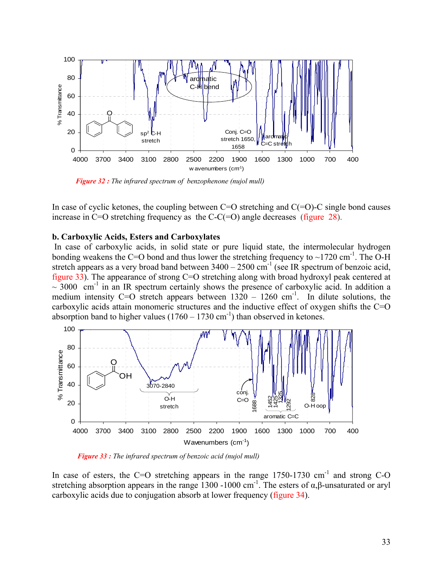

 *Figure 32 : The infrared spectrum of benzophenone (nujol mull)*

In case of cyclic ketones, the coupling between  $C=O$  stretching and  $C(=O)-C$  single bond causes increase in C=O stretching frequency as the C-C(=O) angle decreases (figure 28).

#### **b. Carboxylic Acids, Esters and Carboxylates**

In case of carboxylic acids, in solid state or pure liquid state, the intermolecular hydrogen bonding weakens the C=O bond and thus lower the stretching frequency to  $\sim$ 1720 cm<sup>-1</sup>. The O-H stretch appears as a very broad band between  $3400 - 2500$  cm<sup>-1</sup> (see IR spectrum of benzoic acid, figure 33). The appearance of strong C=O stretching along with broad hydroxyl peak centered at  $\sim$  3000 cm<sup>-1</sup> in an IR spectrum certainly shows the presence of carboxylic acid. In addition a medium intensity C=O stretch appears between  $1320 - 1260$  cm<sup>-1</sup>. In dilute solutions, the carboxylic acids attain monomeric structures and the inductive effect of oxygen shifts the C=O absorption band to higher values  $(1760 - 1730 \text{ cm}^{-1})$  than observed in ketones.



 *Figure 33 : The infrared spectrum of benzoic acid (nujol mull)*

In case of esters, the C=O stretching appears in the range  $1750-1730$  cm<sup>-1</sup> and strong C-O stretching absorption appears in the range 1300 -1000 cm<sup>-1</sup>. The esters of  $\alpha, \beta$ -unsaturated or aryl carboxylic acids due to conjugation absorb at lower frequency (figure 34).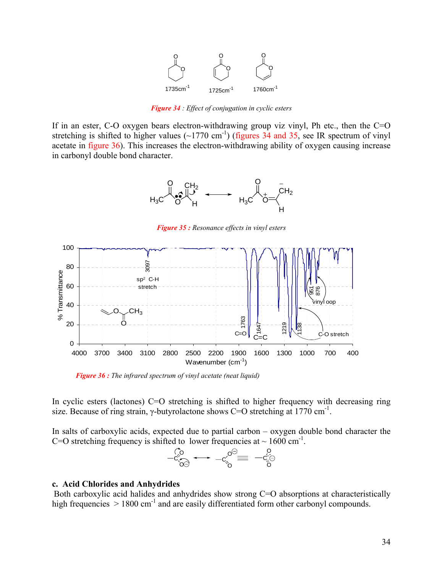

*Figure 34 : Effect of conjugation in cyclic esters* 

If in an ester, C-O oxygen bears electron-withdrawing group viz vinyl, Ph etc., then the  $C=O$ stretching is shifted to higher values  $(\sim 1770 \text{ cm}^{-1})$  (figures 34 and 35, see IR spectrum of vinyl acetate in figure 36). This increases the electron-withdrawing ability of oxygen causing increase in carbonyl double bond character.



*Figure 35 : Resonance effects in vinyl esters*



 *Figure 36 : The infrared spectrum of vinyl acetate (neat liquid)*

In cyclic esters (lactones) C=O stretching is shifted to higher frequency with decreasing ring size. Because of ring strain, γ-butyrolactone shows C=O stretching at 1770 cm<sup>-1</sup>.

In salts of carboxylic acids, expected due to partial carbon – oxygen double bond character the C=O stretching frequency is shifted to lower frequencies at  $\sim 1600 \text{ cm}^{-1}$ .



#### **c. Acid Chlorides and Anhydrides**

Both carboxylic acid halides and anhydrides show strong C=O absorptions at characteristically high frequencies  $> 1800 \text{ cm}^{-1}$  and are easily differentiated form other carbonyl compounds.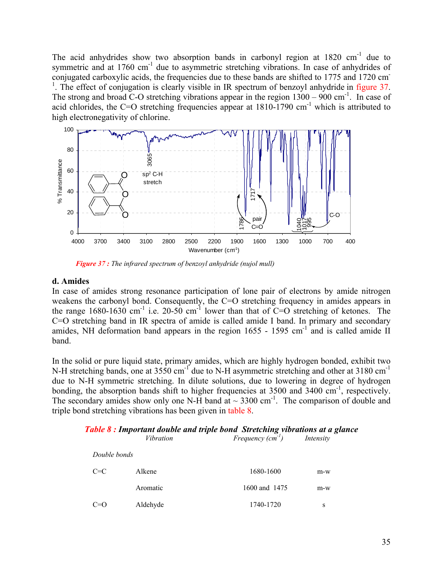The acid anhydrides show two absorption bands in carbonyl region at 1820 cm<sup>-1</sup> due to symmetric and at 1760 cm<sup>-1</sup> due to asymmetric stretching vibrations. In case of anhydrides of conjugated carboxylic acids, the frequencies due to these bands are shifted to 1775 and 1720 cm-<sup>1</sup>. The effect of conjugation is clearly visible in IR spectrum of benzoyl anhydride in figure 37. The strong and broad C-O stretching vibrations appear in the region  $1300 - 900$  cm<sup>-1</sup>. In case of acid chlorides, the C=O stretching frequencies appear at  $1810-1790$  cm<sup>-1</sup> which is attributed to high electronegativity of chlorine.



 *Figure 37 : The infrared spectrum of benzoyl anhydride (nujol mull)*

## **d. Amides**

In case of amides strong resonance participation of lone pair of electrons by amide nitrogen weakens the carbonyl bond. Consequently, the C=O stretching frequency in amides appears in the range 1680-1630 cm<sup>-1</sup> i.e. 20-50 cm<sup>-1</sup> lower than that of  $C=O$  stretching of ketones. The C=O stretching band in IR spectra of amide is called amide I band. In primary and secondary amides, NH deformation band appears in the region  $1655 - 1595$  cm<sup>-1</sup> and is called amide II band.

In the solid or pure liquid state, primary amides, which are highly hydrogen bonded, exhibit two N-H stretching bands, one at 3550 cm<sup>-1</sup> due to N-H asymmetric stretching and other at 3180 cm<sup>-1</sup> due to N-H symmetric stretching. In dilute solutions, due to lowering in degree of hydrogen bonding, the absorption bands shift to higher frequencies at  $3500$  and  $3400$  cm<sup>-1</sup>, respectively. The secondary amides show only one N-H band at  $\sim$  3300 cm<sup>-1</sup>. The comparison of double and triple bond stretching vibrations has been given in table 8.

| Table 8 : Important double and triple bond Stretching vibrations at a glance |  |
|------------------------------------------------------------------------------|--|
|------------------------------------------------------------------------------|--|

|              | <i>Vibration</i> | Frequency $(cm^{-1})$ | Intensity |
|--------------|------------------|-----------------------|-----------|
| Double bonds |                  |                       |           |
| $C=C$        | Alkene           | 1680-1600             | $m-w$     |
|              | Aromatic         | 1600 and 1475         | $m-w$     |
| $C=O$        | Aldehyde         | 1740-1720             | S         |